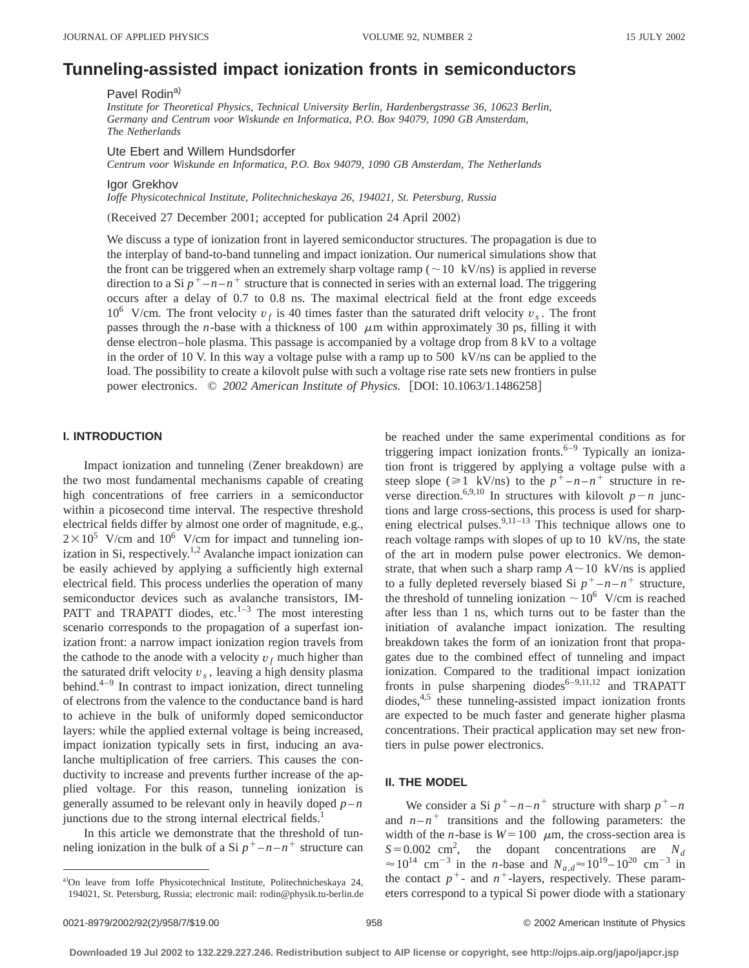# **Tunneling-assisted impact ionization fronts in semiconductors**

Pavel Rodin<sup>a)</sup>

*Institute for Theoretical Physics, Technical University Berlin, Hardenbergstrasse 36, 10623 Berlin, Germany and Centrum voor Wiskunde en Informatica, P.O. Box 94079, 1090 GB Amsterdam, The Netherlands*

Ute Ebert and Willem Hundsdorfer

*Centrum voor Wiskunde en Informatica, P.O. Box 94079, 1090 GB Amsterdam, The Netherlands*

Igor Grekhov

*Ioffe Physicotechnical Institute, Politechnicheskaya 26, 194021, St. Petersburg, Russia*

(Received 27 December 2001; accepted for publication 24 April 2002)

We discuss a type of ionization front in layered semiconductor structures. The propagation is due to the interplay of band-to-band tunneling and impact ionization. Our numerical simulations show that the front can be triggered when an extremely sharp voltage ramp ( $\sim$ 10 kV/ns) is applied in reverse direction to a Si  $p^+$  –  $n - n^+$  structure that is connected in series with an external load. The triggering occurs after a delay of 0.7 to 0.8 ns. The maximal electrical field at the front edge exceeds 10<sup>6</sup> V/cm. The front velocity  $v_f$  is 40 times faster than the saturated drift velocity  $v_s$ . The front passes through the *n*-base with a thickness of 100  $\mu$ m within approximately 30 ps, filling it with dense electron–hole plasma. This passage is accompanied by a voltage drop from 8 kV to a voltage in the order of 10 V. In this way a voltage pulse with a ramp up to 500 kV/ns can be applied to the load. The possibility to create a kilovolt pulse with such a voltage rise rate sets new frontiers in pulse power electronics.  $\degree$  2002 American Institute of Physics. [DOI: 10.1063/1.1486258]

## **I. INTRODUCTION**

Impact ionization and tunneling (Zener breakdown) are the two most fundamental mechanisms capable of creating high concentrations of free carriers in a semiconductor within a picosecond time interval. The respective threshold electrical fields differ by almost one order of magnitude, e.g.,  $2\times10^5$  V/cm and  $10^6$  V/cm for impact and tunneling ionization in Si, respectively.<sup>1,2</sup> Avalanche impact ionization can be easily achieved by applying a sufficiently high external electrical field. This process underlies the operation of many semiconductor devices such as avalanche transistors, IM-PATT and TRAPATT diodes, etc. $1-3$  The most interesting scenario corresponds to the propagation of a superfast ionization front: a narrow impact ionization region travels from the cathode to the anode with a velocity  $v_f$  much higher than the saturated drift velocity  $v_s$ , leaving a high density plasma behind. $4-9$  In contrast to impact ionization, direct tunneling of electrons from the valence to the conductance band is hard to achieve in the bulk of uniformly doped semiconductor layers: while the applied external voltage is being increased, impact ionization typically sets in first, inducing an avalanche multiplication of free carriers. This causes the conductivity to increase and prevents further increase of the applied voltage. For this reason, tunneling ionization is generally assumed to be relevant only in heavily doped  $p - n$ junctions due to the strong internal electrical fields.<sup>1</sup>

In this article we demonstrate that the threshold of tunneling ionization in the bulk of a Si  $p^+$  –  $n - n^+$  structure can be reached under the same experimental conditions as for triggering impact ionization fronts. $6-9$  Typically an ionization front is triggered by applying a voltage pulse with a steep slope ( $\geq 1$  kV/ns) to the  $p^+$ – $n - n^+$  structure in reverse direction.<sup>6,9,10</sup> In structures with kilovolt  $p - n$  junctions and large cross-sections, this process is used for sharpening electrical pulses.  $9,11-13$  This technique allows one to reach voltage ramps with slopes of up to 10 kV/ns, the state of the art in modern pulse power electronics. We demonstrate, that when such a sharp ramp  $A \sim 10$  kV/ns is applied to a fully depleted reversely biased Si  $p^+$  –  $n - n^+$  structure, the threshold of tunneling ionization  $\sim 10^6$  V/cm is reached after less than 1 ns, which turns out to be faster than the initiation of avalanche impact ionization. The resulting breakdown takes the form of an ionization front that propagates due to the combined effect of tunneling and impact ionization. Compared to the traditional impact ionization fronts in pulse sharpening diodes $6-9,11,12$  and TRAPATT  $diodes, <sup>4,5</sup>$  these tunneling-assisted impact ionization fronts are expected to be much faster and generate higher plasma concentrations. Their practical application may set new frontiers in pulse power electronics.

## **II. THE MODEL**

We consider a Si  $p^+$  –  $n - n^+$  structure with sharp  $p^+$  –  $n$ and  $n - n$ <sup>+</sup> transitions and the following parameters: the width of the *n*-base is  $W=100 \mu$ m, the cross-section area is  $S=0.002$  cm<sup>2</sup>, the dopant concentrations are  $N_d$  $\approx 10^{14}$  cm<sup>-3</sup> in the *n*-base and  $N_{a,d} \approx 10^{19} - 10^{20}$  cm<sup>-3</sup> in the contact  $p^+$ - and  $n^+$ -layers, respectively. These parameters correspond to a typical Si power diode with a stationary

a)On leave from Ioffe Physicotechnical Institute, Politechnicheskaya 24, 194021, St. Petersburg, Russia; electronic mail: rodin@physik.tu-berlin.de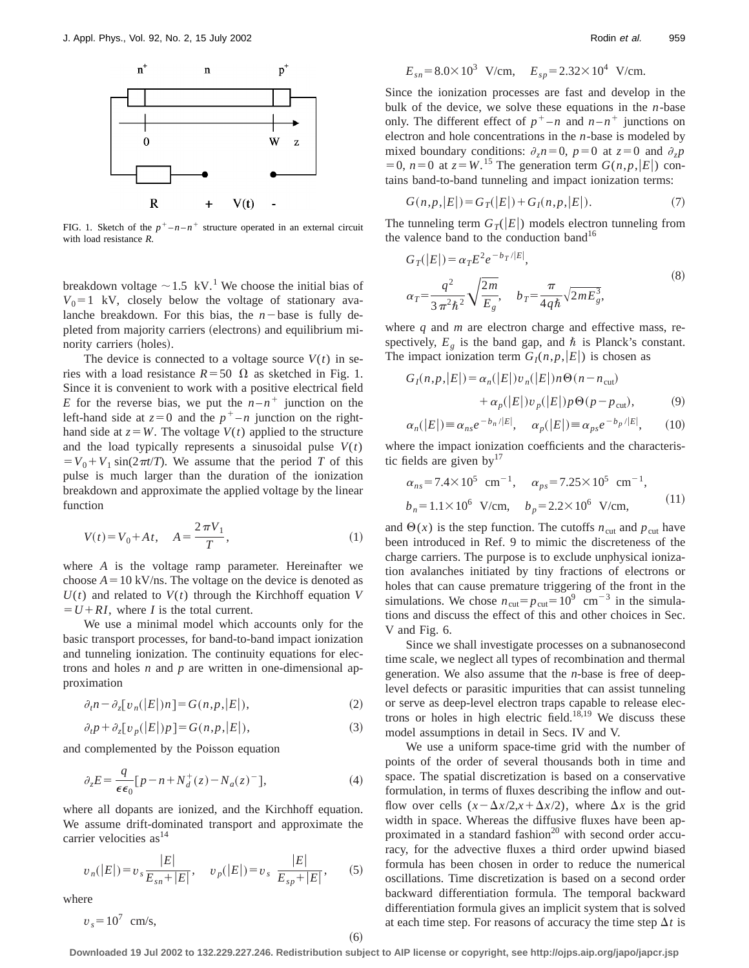

FIG. 1. Sketch of the  $p^+$ – $n - n^+$  structure operated in an external circuit with load resistance *R*.

breakdown voltage  $\sim$  1.5 kV.<sup>1</sup> We choose the initial bias of  $V_0$ =1 kV, closely below the voltage of stationary avalanche breakdown. For this bias, the  $n$ -base is fully depleted from majority carriers (electrons) and equilibrium minority carriers (holes).

The device is connected to a voltage source  $V(t)$  in series with a load resistance  $R=50 \Omega$  as sketched in Fig. 1. Since it is convenient to work with a positive electrical field *E* for the reverse bias, we put the  $n - n^+$  junction on the left-hand side at  $z=0$  and the  $p^+-n$  junction on the righthand side at  $z = W$ . The voltage  $V(t)$  applied to the structure and the load typically represents a sinusoidal pulse  $V(t)$  $= V_0 + V_1 \sin(2\pi t/T)$ . We assume that the period *T* of this pulse is much larger than the duration of the ionization breakdown and approximate the applied voltage by the linear function

$$
V(t) = V_0 + At, \quad A = \frac{2\pi V_1}{T},
$$
\n(1)

where *A* is the voltage ramp parameter. Hereinafter we choose  $A = 10 \text{ kV/ns}$ . The voltage on the device is denoted as  $U(t)$  and related to  $V(t)$  through the Kirchhoff equation *V*  $= U + RI$ , where *I* is the total current.

We use a minimal model which accounts only for the basic transport processes, for band-to-band impact ionization and tunneling ionization. The continuity equations for electrons and holes *n* and *p* are written in one-dimensional approximation

$$
\partial_t n - \partial_z[v_n(|E|)n] = G(n, p, |E|),\tag{2}
$$

$$
\partial_t p + \partial_z [v_p(|E|)p] = G(n, p, |E|),\tag{3}
$$

and complemented by the Poisson equation

$$
\partial_z E = \frac{q}{\epsilon \epsilon_0} [p - n + N_d^+(z) - N_a(z)^{-}], \tag{4}
$$

where all dopants are ionized, and the Kirchhoff equation. We assume drift-dominated transport and approximate the carrier velocities as<sup>14</sup>

$$
v_n(|E|) = v_s \frac{|E|}{E_{sn} + |E|}, \quad v_p(|E|) = v_s \frac{|E|}{E_{sp} + |E|}, \quad (5)
$$

where

$$
v_s = 10^7
$$
 cm/s,

$$
E_{sn} = 8.0 \times 10^3
$$
 V/cm,  $E_{sp} = 2.32 \times 10^4$  V/cm.

Since the ionization processes are fast and develop in the bulk of the device, we solve these equations in the *n*-base only. The different effect of  $p^+$ –*n* and  $n - n^+$  junctions on electron and hole concentrations in the *n*-base is modeled by mixed boundary conditions:  $\partial_z n = 0$ ,  $p = 0$  at  $z = 0$  and  $\partial_z p$  $=0$ ,  $n=0$  at  $z=W$ .<sup>15</sup> The generation term  $G(n,p,|E|)$  contains band-to-band tunneling and impact ionization terms:

$$
G(n, p, |E|) = G_T(|E|) + G_I(n, p, |E|). \tag{7}
$$

The tunneling term  $G_T(|E|)$  models electron tunneling from the valence band to the conduction band<sup>16</sup>

$$
G_T(|E|) = \alpha_T E^2 e^{-b_T/|E|},
$$
  
\n
$$
\alpha_T = \frac{q^2}{3\pi^2 \hbar^2} \sqrt{\frac{2m}{E_g}}, \quad b_T = \frac{\pi}{4q\hbar} \sqrt{2mE_g^3},
$$
\n(8)

where *q* and *m* are electron charge and effective mass, respectively,  $E_g$  is the band gap, and  $\hbar$  is Planck's constant. The impact ionization term  $G_I(n, p, |E|)$  is chosen as

$$
G_I(n, p, |E|) = \alpha_n(|E|)v_n(|E|)n\Theta(n - n_{\text{cut}}) + \alpha_p(|E|)v_p(|E|)p\Theta(p - p_{\text{cut}}),
$$
(9)

$$
\alpha_n(|E|) \equiv \alpha_{ns} e^{-b_n/|E|}, \quad \alpha_p(|E|) \equiv \alpha_{ps} e^{-b_p/|E|}, \quad (10)
$$

where the impact ionization coefficients and the characteristic fields are given by  $17$ 

$$
\alpha_{ns} = 7.4 \times 10^5 \text{ cm}^{-1}, \quad \alpha_{ps} = 7.25 \times 10^5 \text{ cm}^{-1},
$$
  
\n $b_n = 1.1 \times 10^6 \text{ V/cm}, \quad b_p = 2.2 \times 10^6 \text{ V/cm},$  (11)

and  $\Theta(x)$  is the step function. The cutoffs  $n_{\text{cut}}$  and  $p_{\text{cut}}$  have been introduced in Ref. 9 to mimic the discreteness of the charge carriers. The purpose is to exclude unphysical ionization avalanches initiated by tiny fractions of electrons or holes that can cause premature triggering of the front in the simulations. We chose  $n_{\text{cut}} = p_{\text{cut}} = 10^9$  cm<sup>-3</sup> in the simulations and discuss the effect of this and other choices in Sec. V and Fig. 6.

Since we shall investigate processes on a subnanosecond time scale, we neglect all types of recombination and thermal generation. We also assume that the *n*-base is free of deeplevel defects or parasitic impurities that can assist tunneling or serve as deep-level electron traps capable to release electrons or holes in high electric field.<sup>18,19</sup> We discuss these model assumptions in detail in Secs. IV and V.

We use a uniform space-time grid with the number of points of the order of several thousands both in time and space. The spatial discretization is based on a conservative formulation, in terms of fluxes describing the inflow and outflow over cells  $(x - \Delta x/2, x + \Delta x/2)$ , where  $\Delta x$  is the grid width in space. Whereas the diffusive fluxes have been approximated in a standard fashion<sup>20</sup> with second order accuracy, for the advective fluxes a third order upwind biased formula has been chosen in order to reduce the numerical oscillations. Time discretization is based on a second order backward differentiation formula. The temporal backward differentiation formula gives an implicit system that is solved at each time step. For reasons of accuracy the time step  $\Delta t$  is

**Downloaded 19 Jul 2002 to 132.229.227.246. Redistribution subject to AIP license or copyright, see http://ojps.aip.org/japo/japcr.jsp**

 $(6)$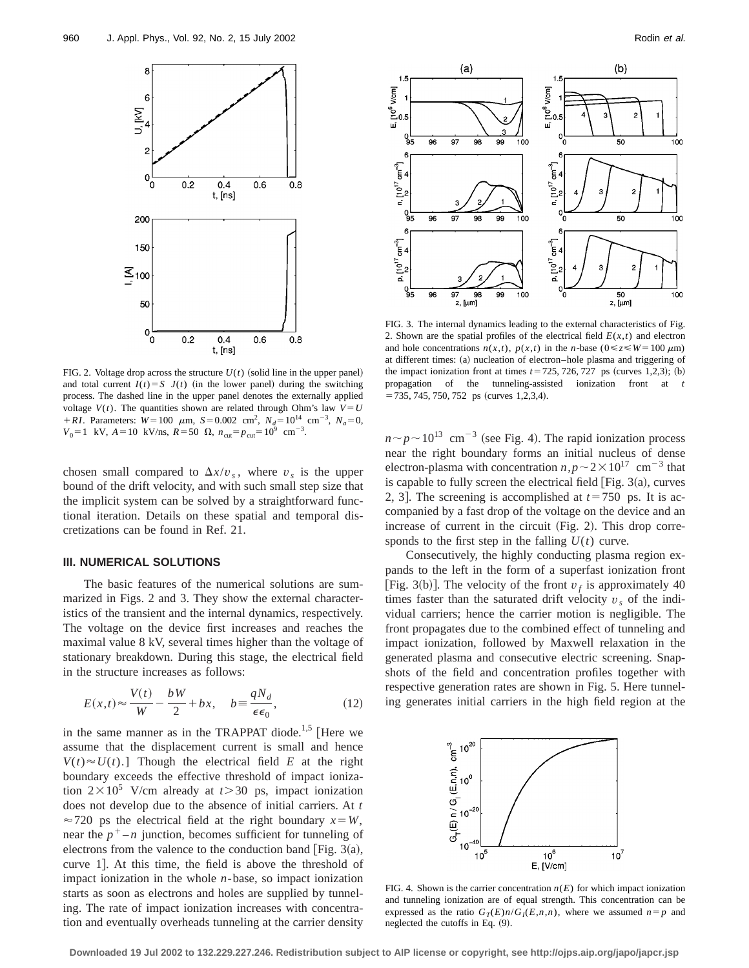

FIG. 2. Voltage drop across the structure  $U(t)$  (solid line in the upper panel) and total current  $I(t) = S \, J(t)$  (in the lower panel) during the switching process. The dashed line in the upper panel denotes the externally applied voltage  $V(t)$ . The quantities shown are related through Ohm's law  $V = U$ + *RI*. Parameters:  $W = 100 \mu m$ ,  $S = 0.002 \text{ cm}^2$ ,  $N_d = 10^{14} \text{ cm}^{-3}$ ,  $N_a = 0$ ,  $V_0 = 1$  kV,  $A = 10$  kV/ns,  $R = 50$   $\Omega$ ,  $n_{\text{cut}} = p_{\text{cut}} = 10^9$  cm<sup>-3</sup>.

chosen small compared to  $\Delta x/v_s$ , where  $v_s$  is the upper bound of the drift velocity, and with such small step size that the implicit system can be solved by a straightforward functional iteration. Details on these spatial and temporal discretizations can be found in Ref. 21.

## **III. NUMERICAL SOLUTIONS**

The basic features of the numerical solutions are summarized in Figs. 2 and 3. They show the external characteristics of the transient and the internal dynamics, respectively. The voltage on the device first increases and reaches the maximal value 8 kV, several times higher than the voltage of stationary breakdown. During this stage, the electrical field in the structure increases as follows:

$$
E(x,t) \approx \frac{V(t)}{W} - \frac{bW}{2} + bx, \quad b \equiv \frac{qN_d}{\epsilon \epsilon_0},\tag{12}
$$

in the same manner as in the TRAPPAT diode.<sup>1,5</sup> [Here we assume that the displacement current is small and hence  $V(t) \approx U(t)$ .] Though the electrical field *E* at the right boundary exceeds the effective threshold of impact ionization  $2 \times 10^5$  V/cm already at  $t > 30$  ps, impact ionization does not develop due to the absence of initial carriers. At *t*  $\approx$  720 ps the electrical field at the right boundary *x* = *W*, near the  $p^+$ –*n* junction, becomes sufficient for tunneling of electrons from the valence to the conduction band [Fig. 3(a), curve 1. At this time, the field is above the threshold of impact ionization in the whole *n*-base, so impact ionization starts as soon as electrons and holes are supplied by tunneling. The rate of impact ionization increases with concentration and eventually overheads tunneling at the carrier density



FIG. 3. The internal dynamics leading to the external characteristics of Fig. 2. Shown are the spatial profiles of the electrical field  $E(x,t)$  and electron and hole concentrations  $n(x,t)$ ,  $p(x,t)$  in the *n*-base ( $0 \le z \le W = 100 \ \mu \text{m}$ ) at different times: (a) nucleation of electron–hole plasma and triggering of the impact ionization front at times  $t=725, 726, 727$  ps (curves 1,2,3); (b) propagation of the tunneling-assisted ionization front at *t*  $= 735, 745, 750, 752$  ps (curves 1,2,3,4).

 $n \sim p \sim 10^{13}$  cm<sup>-3</sup> (see Fig. 4). The rapid ionization process near the right boundary forms an initial nucleus of dense electron-plasma with concentration  $n, p \sim 2 \times 10^{17}$  cm<sup>-3</sup> that is capable to fully screen the electrical field  $[Fig. 3(a), curves]$ 2, 3]. The screening is accomplished at  $t=750$  ps. It is accompanied by a fast drop of the voltage on the device and an increase of current in the circuit  $(Fig. 2)$ . This drop corresponds to the first step in the falling  $U(t)$  curve.

Consecutively, the highly conducting plasma region expands to the left in the form of a superfast ionization front [Fig. 3(b)]. The velocity of the front  $v_f$  is approximately 40 times faster than the saturated drift velocity  $v_s$  of the individual carriers; hence the carrier motion is negligible. The front propagates due to the combined effect of tunneling and impact ionization, followed by Maxwell relaxation in the generated plasma and consecutive electric screening. Snapshots of the field and concentration profiles together with respective generation rates are shown in Fig. 5. Here tunneling generates initial carriers in the high field region at the



FIG. 4. Shown is the carrier concentration  $n(E)$  for which impact ionization and tunneling ionization are of equal strength. This concentration can be expressed as the ratio  $G_T(E)n/G_I(E,n,n)$ , where we assumed  $n=p$  and neglected the cutoffs in Eq.  $(9)$ .

**Downloaded 19 Jul 2002 to 132.229.227.246. Redistribution subject to AIP license or copyright, see http://ojps.aip.org/japo/japcr.jsp**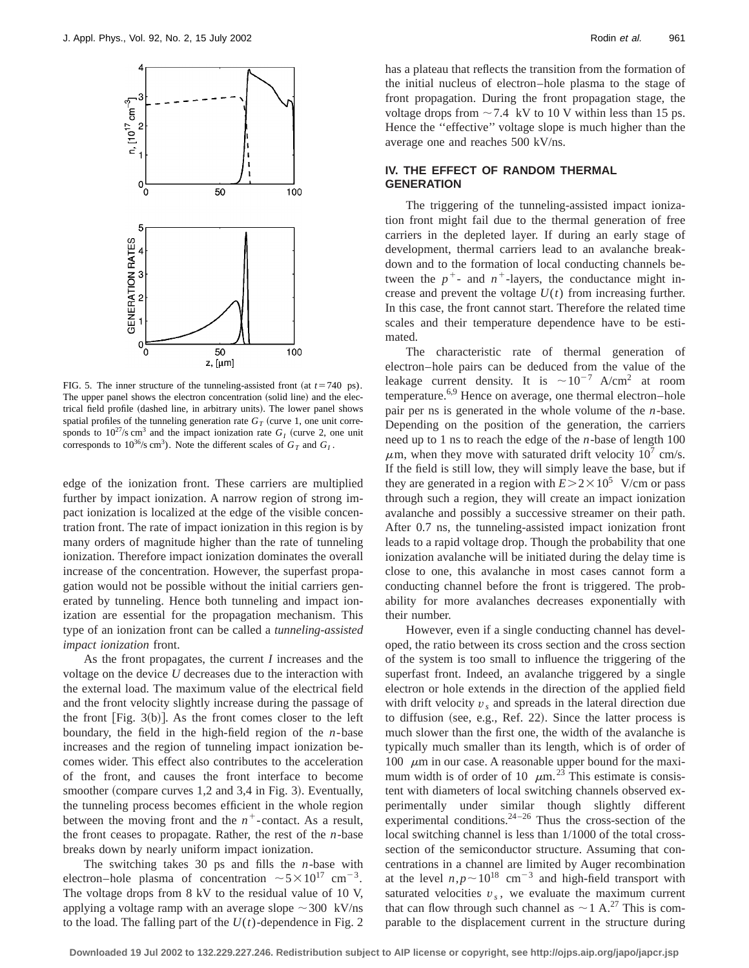$n, [10^{17} \text{ cm}^{-3}]$ 

.3

 $\overline{2}$ 

 $0<sup>1</sup>$ 

5





corresponds to  $10^{36}$ /s cm<sup>3</sup>). Note the different scales of  $G_T$  and  $G_I$ .

edge of the ionization front. These carriers are multiplied further by impact ionization. A narrow region of strong impact ionization is localized at the edge of the visible concentration front. The rate of impact ionization in this region is by many orders of magnitude higher than the rate of tunneling ionization. Therefore impact ionization dominates the overall increase of the concentration. However, the superfast propagation would not be possible without the initial carriers generated by tunneling. Hence both tunneling and impact ionization are essential for the propagation mechanism. This type of an ionization front can be called a *tunneling-assisted impact ionization* front.

As the front propagates, the current *I* increases and the voltage on the device *U* decreases due to the interaction with the external load. The maximum value of the electrical field and the front velocity slightly increase during the passage of the front  $[Fig. 3(b)].$  As the front comes closer to the left boundary, the field in the high-field region of the *n*-base increases and the region of tunneling impact ionization becomes wider. This effect also contributes to the acceleration of the front, and causes the front interface to become smoother (compare curves  $1,2$  and  $3,4$  in Fig. 3). Eventually, the tunneling process becomes efficient in the whole region between the moving front and the  $n^+$ -contact. As a result, the front ceases to propagate. Rather, the rest of the *n*-base breaks down by nearly uniform impact ionization.

The switching takes 30 ps and fills the *n*-base with electron–hole plasma of concentration  $\sim 5 \times 10^{17}$  cm<sup>-3</sup>. The voltage drops from 8 kV to the residual value of 10 V, applying a voltage ramp with an average slope  $\sim$  300 kV/ns to the load. The falling part of the  $U(t)$ -dependence in Fig. 2 has a plateau that reflects the transition from the formation of the initial nucleus of electron–hole plasma to the stage of front propagation. During the front propagation stage, the voltage drops from  $\sim$  7.4 kV to 10 V within less than 15 ps. Hence the "effective" voltage slope is much higher than the average one and reaches 500 kV/ns.

## **IV. THE EFFECT OF RANDOM THERMAL GENERATION**

The triggering of the tunneling-assisted impact ionization front might fail due to the thermal generation of free carriers in the depleted layer. If during an early stage of development, thermal carriers lead to an avalanche breakdown and to the formation of local conducting channels between the  $p^+$ - and  $n^+$ -layers, the conductance might increase and prevent the voltage *U*(*t*) from increasing further. In this case, the front cannot start. Therefore the related time scales and their temperature dependence have to be estimated.

The characteristic rate of thermal generation of electron–hole pairs can be deduced from the value of the leakage current density. It is  $\sim 10^{-7}$  A/cm<sup>2</sup> at room temperature.<sup>6,9</sup> Hence on average, one thermal electron–hole pair per ns is generated in the whole volume of the *n*-base. Depending on the position of the generation, the carriers need up to 1 ns to reach the edge of the *n*-base of length 100  $\mu$ m, when they move with saturated drift velocity 10<sup>7</sup> cm/s. If the field is still low, they will simply leave the base, but if they are generated in a region with  $E > 2 \times 10^5$  V/cm or pass through such a region, they will create an impact ionization avalanche and possibly a successive streamer on their path. After 0.7 ns, the tunneling-assisted impact ionization front leads to a rapid voltage drop. Though the probability that one ionization avalanche will be initiated during the delay time is close to one, this avalanche in most cases cannot form a conducting channel before the front is triggered. The probability for more avalanches decreases exponentially with their number.

However, even if a single conducting channel has developed, the ratio between its cross section and the cross section of the system is too small to influence the triggering of the superfast front. Indeed, an avalanche triggered by a single electron or hole extends in the direction of the applied field with drift velocity  $v_s$  and spreads in the lateral direction due to diffusion (see, e.g., Ref. 22). Since the latter process is much slower than the first one, the width of the avalanche is typically much smaller than its length, which is of order of 100  $\mu$ m in our case. A reasonable upper bound for the maximum width is of order of 10  $\mu$ m.<sup>23</sup> This estimate is consistent with diameters of local switching channels observed experimentally under similar though slightly different experimental conditions. $24-26$  Thus the cross-section of the local switching channel is less than 1/1000 of the total crosssection of the semiconductor structure. Assuming that concentrations in a channel are limited by Auger recombination at the level  $n, p \sim 10^{18}$  cm<sup>-3</sup> and high-field transport with saturated velocities  $v_s$ , we evaluate the maximum current that can flow through such channel as  $\sim$  1 A.<sup>27</sup> This is comparable to the displacement current in the structure during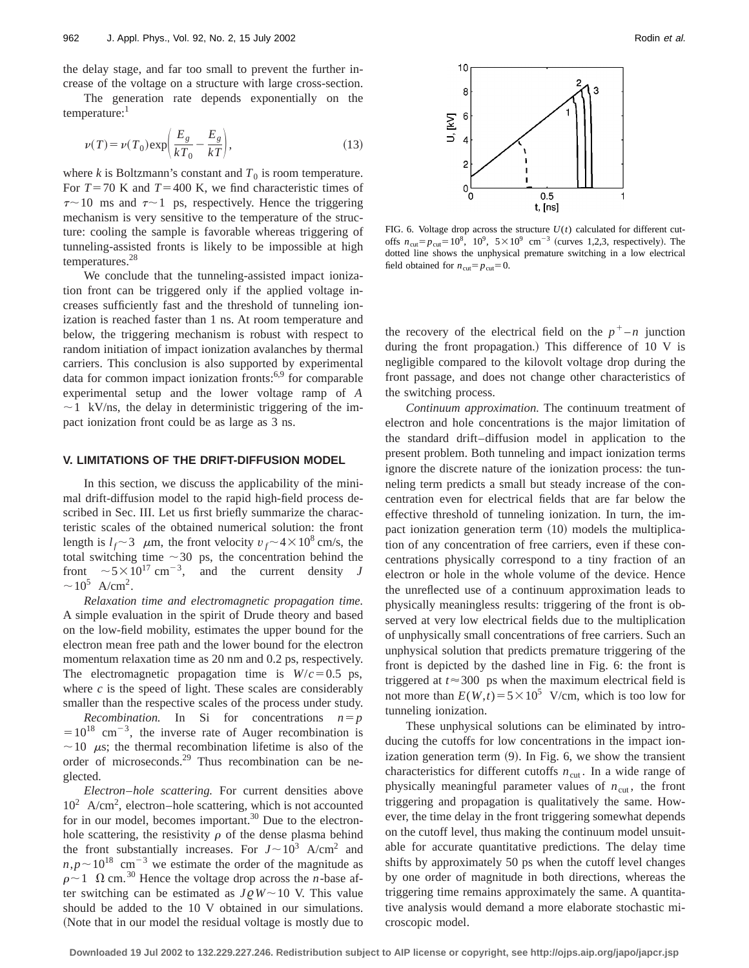the delay stage, and far too small to prevent the further increase of the voltage on a structure with large cross-section.

The generation rate depends exponentially on the temperature:<sup>1</sup>

$$
\nu(T) = \nu(T_0) \exp\left(\frac{E_g}{kT_0} - \frac{E_g}{kT}\right),\tag{13}
$$

where *k* is Boltzmann's constant and  $T_0$  is room temperature. For  $T=70$  K and  $T=400$  K, we find characteristic times of  $\tau$  10 ms and  $\tau$  1 ps, respectively. Hence the triggering mechanism is very sensitive to the temperature of the structure: cooling the sample is favorable whereas triggering of tunneling-assisted fronts is likely to be impossible at high temperatures. $^{28}$ 

We conclude that the tunneling-assisted impact ionization front can be triggered only if the applied voltage increases sufficiently fast and the threshold of tunneling ionization is reached faster than 1 ns. At room temperature and below, the triggering mechanism is robust with respect to random initiation of impact ionization avalanches by thermal carriers. This conclusion is also supported by experimental data for common impact ionization fronts: $6,9$  for comparable experimental setup and the lower voltage ramp of *A*  $\sim$  1 kV/ns, the delay in deterministic triggering of the impact ionization front could be as large as 3 ns.

#### **V. LIMITATIONS OF THE DRIFT-DIFFUSION MODEL**

In this section, we discuss the applicability of the minimal drift-diffusion model to the rapid high-field process described in Sec. III. Let us first briefly summarize the characteristic scales of the obtained numerical solution: the front length is  $l_f \sim 3$   $\mu$ m, the front velocity  $v_f \sim 4 \times 10^8$  cm/s, the total switching time  $\sim$  30 ps, the concentration behind the front  $\sim 5 \times 10^{17}$  cm<sup>-3</sup>, and the current density *J*  $\sim$ 10<sup>5</sup> A/cm<sup>2</sup>.

*Relaxation time and electromagnetic propagation time.* A simple evaluation in the spirit of Drude theory and based on the low-field mobility, estimates the upper bound for the electron mean free path and the lower bound for the electron momentum relaxation time as 20 nm and 0.2 ps, respectively. The electromagnetic propagation time is  $W/c = 0.5$  ps, where  $c$  is the speed of light. These scales are considerably smaller than the respective scales of the process under study.

*Recombination.* In Si for concentrations  $n=p$  $=10^{18}$  cm<sup>-3</sup>, the inverse rate of Auger recombination is  $\sim$  10  $\mu$ s; the thermal recombination lifetime is also of the order of microseconds.29 Thus recombination can be neglected.

*Electron*–*hole scattering.* For current densities above 10<sup>2</sup> A/cm2 , electron–hole scattering, which is not accounted for in our model, becomes important.<sup>30</sup> Due to the electronhole scattering, the resistivity  $\rho$  of the dense plasma behind the front substantially increases. For  $J \sim 10^3$  A/cm<sup>2</sup> and  $n, p \sim 10^{18}$  cm<sup>-3</sup> we estimate the order of the magnitude as  $\rho \sim 1$   $\Omega$  cm.<sup>30</sup> Hence the voltage drop across the *n*-base after switching can be estimated as  $J \varrho W \sim 10$  V. This value should be added to the 10 V obtained in our simulations. (Note that in our model the residual voltage is mostly due to



FIG. 6. Voltage drop across the structure  $U(t)$  calculated for different cutoffs  $n_{\text{cut}} = p_{\text{cut}} = 10^8$ ,  $10^9$ ,  $5 \times 10^9$  cm<sup>-3</sup> (curves 1,2,3, respectively). The dotted line shows the unphysical premature switching in a low electrical field obtained for  $n_{\text{cut}} = p_{\text{cut}} = 0$ .

the recovery of the electrical field on the  $p^+$ –*n* junction during the front propagation.) This difference of 10 V is negligible compared to the kilovolt voltage drop during the front passage, and does not change other characteristics of the switching process.

*Continuum approximation.* The continuum treatment of electron and hole concentrations is the major limitation of the standard drift–diffusion model in application to the present problem. Both tunneling and impact ionization terms ignore the discrete nature of the ionization process: the tunneling term predicts a small but steady increase of the concentration even for electrical fields that are far below the effective threshold of tunneling ionization. In turn, the impact ionization generation term  $(10)$  models the multiplication of any concentration of free carriers, even if these concentrations physically correspond to a tiny fraction of an electron or hole in the whole volume of the device. Hence the unreflected use of a continuum approximation leads to physically meaningless results: triggering of the front is observed at very low electrical fields due to the multiplication of unphysically small concentrations of free carriers. Such an unphysical solution that predicts premature triggering of the front is depicted by the dashed line in Fig. 6: the front is triggered at  $t \approx 300$  ps when the maximum electrical field is not more than  $E(W,t) = 5 \times 10^5$  V/cm, which is too low for tunneling ionization.

These unphysical solutions can be eliminated by introducing the cutoffs for low concentrations in the impact ionization generation term  $(9)$ . In Fig. 6, we show the transient characteristics for different cutoffs  $n_{\text{cut}}$ . In a wide range of physically meaningful parameter values of  $n_{\text{cut}}$ , the front triggering and propagation is qualitatively the same. However, the time delay in the front triggering somewhat depends on the cutoff level, thus making the continuum model unsuitable for accurate quantitative predictions. The delay time shifts by approximately 50 ps when the cutoff level changes by one order of magnitude in both directions, whereas the triggering time remains approximately the same. A quantitative analysis would demand a more elaborate stochastic microscopic model.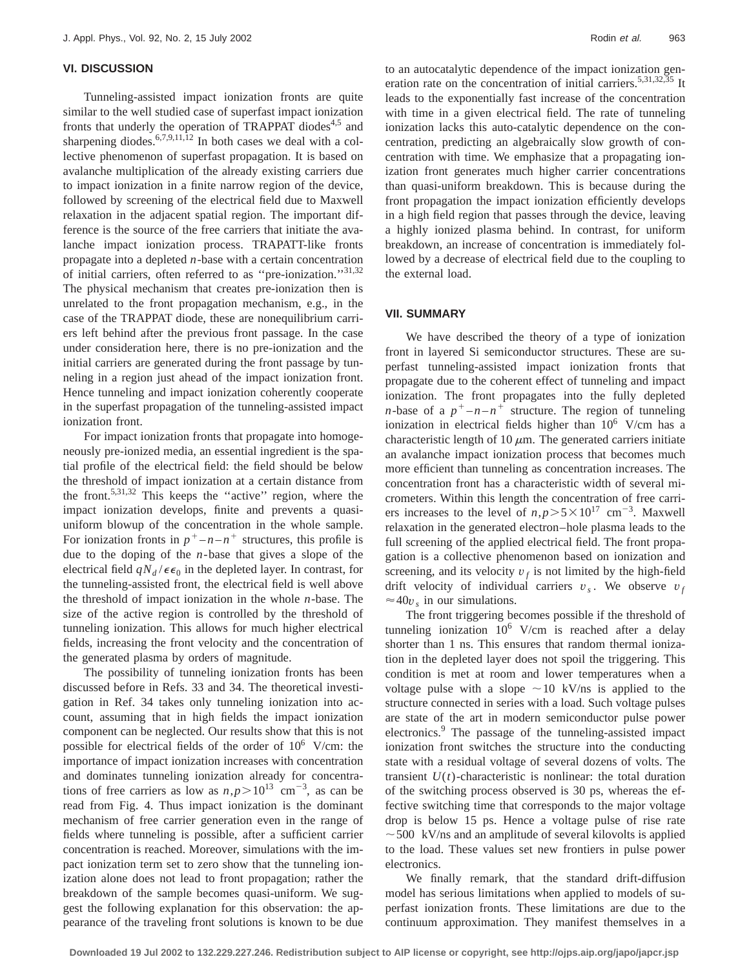## **VI. DISCUSSION**

Tunneling-assisted impact ionization fronts are quite similar to the well studied case of superfast impact ionization fronts that underly the operation of TRAPPAT diodes<sup>4,5</sup> and sharpening diodes.<sup>6,7,9,11,12</sup> In both cases we deal with a collective phenomenon of superfast propagation. It is based on avalanche multiplication of the already existing carriers due to impact ionization in a finite narrow region of the device, followed by screening of the electrical field due to Maxwell relaxation in the adjacent spatial region. The important difference is the source of the free carriers that initiate the avalanche impact ionization process. TRAPATT-like fronts propagate into a depleted *n*-base with a certain concentration of initial carriers, often referred to as "pre-ionization."<sup>31,32</sup> The physical mechanism that creates pre-ionization then is unrelated to the front propagation mechanism, e.g., in the case of the TRAPPAT diode, these are nonequilibrium carriers left behind after the previous front passage. In the case under consideration here, there is no pre-ionization and the initial carriers are generated during the front passage by tunneling in a region just ahead of the impact ionization front. Hence tunneling and impact ionization coherently cooperate in the superfast propagation of the tunneling-assisted impact ionization front.

For impact ionization fronts that propagate into homogeneously pre-ionized media, an essential ingredient is the spatial profile of the electrical field: the field should be below the threshold of impact ionization at a certain distance from the front.5,31,32 This keeps the ''active'' region, where the impact ionization develops, finite and prevents a quasiuniform blowup of the concentration in the whole sample. For ionization fronts in  $p^+$  –  $n - n^+$  structures, this profile is due to the doping of the *n*-base that gives a slope of the electrical field  $qN_d/\epsilon\epsilon_0$  in the depleted layer. In contrast, for the tunneling-assisted front, the electrical field is well above the threshold of impact ionization in the whole *n*-base. The size of the active region is controlled by the threshold of tunneling ionization. This allows for much higher electrical fields, increasing the front velocity and the concentration of the generated plasma by orders of magnitude.

The possibility of tunneling ionization fronts has been discussed before in Refs. 33 and 34. The theoretical investigation in Ref. 34 takes only tunneling ionization into account, assuming that in high fields the impact ionization component can be neglected. Our results show that this is not possible for electrical fields of the order of  $10^6$  V/cm: the importance of impact ionization increases with concentration and dominates tunneling ionization already for concentrations of free carriers as low as  $n, p > 10^{13}$  cm<sup>-3</sup>, as can be read from Fig. 4. Thus impact ionization is the dominant mechanism of free carrier generation even in the range of fields where tunneling is possible, after a sufficient carrier concentration is reached. Moreover, simulations with the impact ionization term set to zero show that the tunneling ionization alone does not lead to front propagation; rather the breakdown of the sample becomes quasi-uniform. We suggest the following explanation for this observation: the appearance of the traveling front solutions is known to be due

to an autocatalytic dependence of the impact ionization generation rate on the concentration of initial carriers.<sup>5,31,32,35</sup> It leads to the exponentially fast increase of the concentration with time in a given electrical field. The rate of tunneling ionization lacks this auto-catalytic dependence on the concentration, predicting an algebraically slow growth of concentration with time. We emphasize that a propagating ionization front generates much higher carrier concentrations than quasi-uniform breakdown. This is because during the front propagation the impact ionization efficiently develops in a high field region that passes through the device, leaving a highly ionized plasma behind. In contrast, for uniform breakdown, an increase of concentration is immediately followed by a decrease of electrical field due to the coupling to the external load.

### **VII. SUMMARY**

We have described the theory of a type of ionization front in layered Si semiconductor structures. These are superfast tunneling-assisted impact ionization fronts that propagate due to the coherent effect of tunneling and impact ionization. The front propagates into the fully depleted *n*-base of a  $p^+$ –*n*–*n*<sup>+</sup> structure. The region of tunneling ionization in electrical fields higher than  $10^6$  V/cm has a characteristic length of 10  $\mu$ m. The generated carriers initiate an avalanche impact ionization process that becomes much more efficient than tunneling as concentration increases. The concentration front has a characteristic width of several micrometers. Within this length the concentration of free carriers increases to the level of  $n, p > 5 \times 10^{17}$  cm<sup>-3</sup>. Maxwell relaxation in the generated electron–hole plasma leads to the full screening of the applied electrical field. The front propagation is a collective phenomenon based on ionization and screening, and its velocity  $v_f$  is not limited by the high-field drift velocity of individual carriers  $v<sub>s</sub>$ . We observe  $v<sub>f</sub>$  $\approx 40v$ <sub>s</sub> in our simulations.

The front triggering becomes possible if the threshold of tunneling ionization  $10^6$  V/cm is reached after a delay shorter than 1 ns. This ensures that random thermal ionization in the depleted layer does not spoil the triggering. This condition is met at room and lower temperatures when a voltage pulse with a slope  $\sim$ 10 kV/ns is applied to the structure connected in series with a load. Such voltage pulses are state of the art in modern semiconductor pulse power electronics.<sup>9</sup> The passage of the tunneling-assisted impact ionization front switches the structure into the conducting state with a residual voltage of several dozens of volts. The transient  $U(t)$ -characteristic is nonlinear: the total duration of the switching process observed is 30 ps, whereas the effective switching time that corresponds to the major voltage drop is below 15 ps. Hence a voltage pulse of rise rate  $\sim$  500 kV/ns and an amplitude of several kilovolts is applied to the load. These values set new frontiers in pulse power electronics.

We finally remark, that the standard drift-diffusion model has serious limitations when applied to models of superfast ionization fronts. These limitations are due to the continuum approximation. They manifest themselves in a